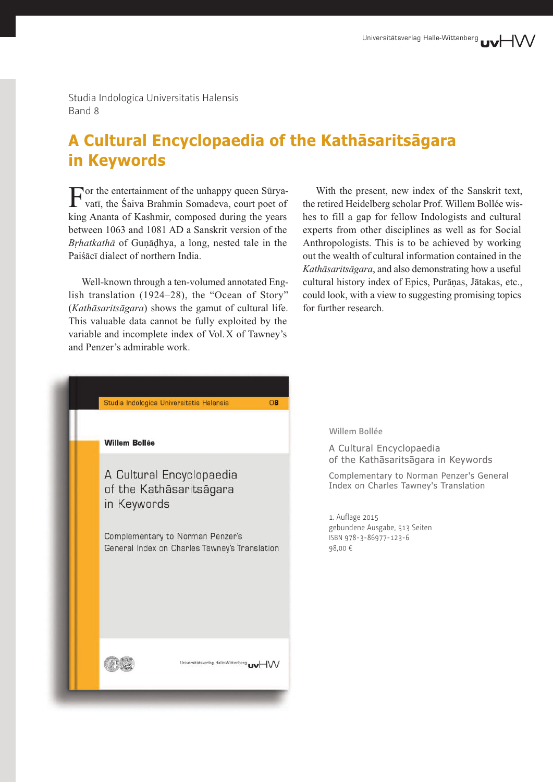Studia Indologica Universitatis Halensis Band 8

## **A Cultural Encyclopaedia of the Kathāsaritsāgara in Keywords**

 $\Gamma_{\text{vaff}}$  the entertainment of the unhappy queen Sūryavatī, the Śaiva Brahmin Somadeva, court poet of king Ananta of Kashmir, composed during the years between 1063 and 1081 AD a Sanskrit version of the *Bṛhatkathā* of Guṇāḍhya, a long, nested tale in the Paiśācī dialect of northern India.

Well-known through a ten-volumed annotated English translation (1924–28), the "Ocean of Story" (*Kathāsaritsāgara*) shows the gamut of cultural life. This valuable data cannot be fully exploited by the variable and incomplete index of Vol.X of Tawney's and Penzer's admirable work.

With the present, new index of the Sanskrit text, the retired Heidelberg scholar Prof. Willem Bollée wishes to fill a gap for fellow Indologists and cultural experts from other disciplines as well as for Social Anthropologists. This is to be achieved by working out the wealth of cultural information contained in the *Kathāsaritsāgara*, and also demonstrating how a useful cultural history index of Epics, Purāṇas, Jātakas, etc., could look, with a view to suggesting promising topics for further research.



## **Willem Bollée**

A Cultural Encyclopaedia of the Kathāsaritsāgara in Keywords

Complementary to Norman Penzer's General Index on Charles Tawney's Translation

1. Auflage 2015 gebundene Ausgabe, 513 Seiten ISBN 978-3-86977-123-6 98,00 €